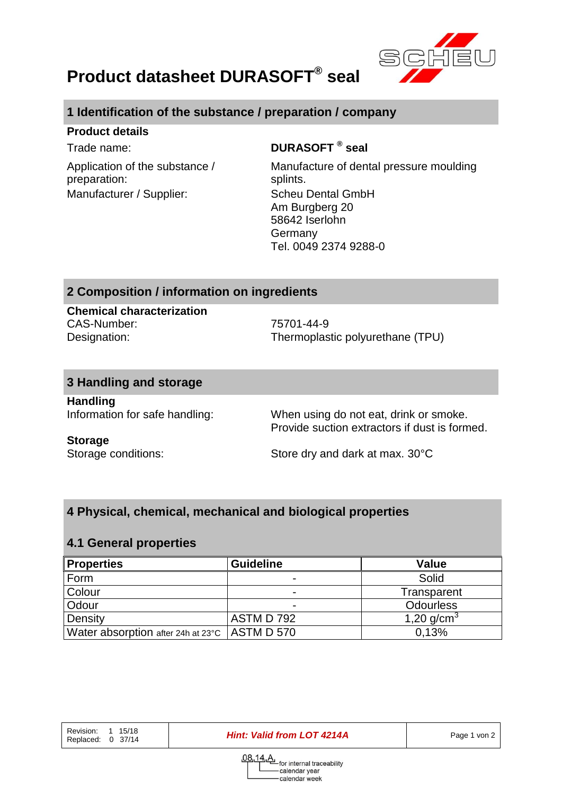

# **Product datasheet DURASOFT® seal**

# **1 Identification of the substance / preparation / company**

#### **Product details**

Application of the substance / preparation: Manufacturer / Supplier: Scheu Dental GmbH

# Trade name: **DURASOFT ® seal**

Manufacture of dental pressure moulding splints. Am Burgberg 20 58642 Iserlohn Germany Tel. 0049 2374 9288-0

# **2 Composition / information on ingredients**

**Chemical characterization** CAS-Number: 75701-44-9

Designation: Thermoplastic polyurethane (TPU)

#### **3 Handling and storage**

**Handling**

Information for safe handling: When using do not eat, drink or smoke. Provide suction extractors if dust is formed.

#### **Storage**

Storage conditions: Store dry and dark at max. 30°C

# **4 Physical, chemical, mechanical and biological properties**

#### **4.1 General properties**

| <b>Properties</b>                               | <b>Guideline</b> | Value            |
|-------------------------------------------------|------------------|------------------|
| Form                                            | -                | Solid            |
| Colour                                          | -                | Transparent      |
| Odour                                           |                  | <b>Odourless</b> |
| Density                                         | ASTM D 792       | 1,20 $q/cm^{3}$  |
| Water absorption after 24h at 23°C   ASTM D 570 |                  | 0,13%            |

**Hint: Valid from LOT 4214A** Page 1 von 2